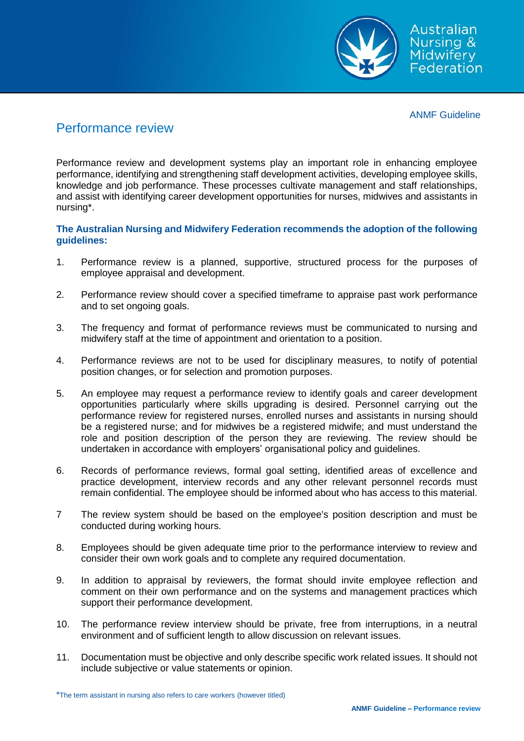

ANMF Guideline

## Performance review

Performance review and development systems play an important role in enhancing employee performance, identifying and strengthening staff development activities, developing employee skills, knowledge and job performance. These processes cultivate management and staff relationships, and assist with identifying career development opportunities for nurses, midwives and assistants in nursing\*.

## **The Australian Nursing and Midwifery Federation recommends the adoption of the following guidelines:**

- 1. Performance review is a planned, supportive, structured process for the purposes of employee appraisal and development.
- 2. Performance review should cover a specified timeframe to appraise past work performance and to set ongoing goals.
- 3. The frequency and format of performance reviews must be communicated to nursing and midwifery staff at the time of appointment and orientation to a position.
- 4. Performance reviews are not to be used for disciplinary measures, to notify of potential position changes, or for selection and promotion purposes.
- 5. An employee may request a performance review to identify goals and career development opportunities particularly where skills upgrading is desired. Personnel carrying out the performance review for registered nurses, enrolled nurses and assistants in nursing should be a registered nurse; and for midwives be a registered midwife; and must understand the role and position description of the person they are reviewing. The review should be undertaken in accordance with employers' organisational policy and guidelines.
- 6. Records of performance reviews, formal goal setting, identified areas of excellence and practice development, interview records and any other relevant personnel records must remain confidential. The employee should be informed about who has access to this material.
- 7 The review system should be based on the employee's position description and must be conducted during working hours.
- 8. Employees should be given adequate time prior to the performance interview to review and consider their own work goals and to complete any required documentation.
- 9. In addition to appraisal by reviewers, the format should invite employee reflection and comment on their own performance and on the systems and management practices which support their performance development.
- 10. The performance review interview should be private, free from interruptions, in a neutral environment and of sufficient length to allow discussion on relevant issues.
- 11. Documentation must be objective and only describe specific work related issues. It should not include subjective or value statements or opinion.